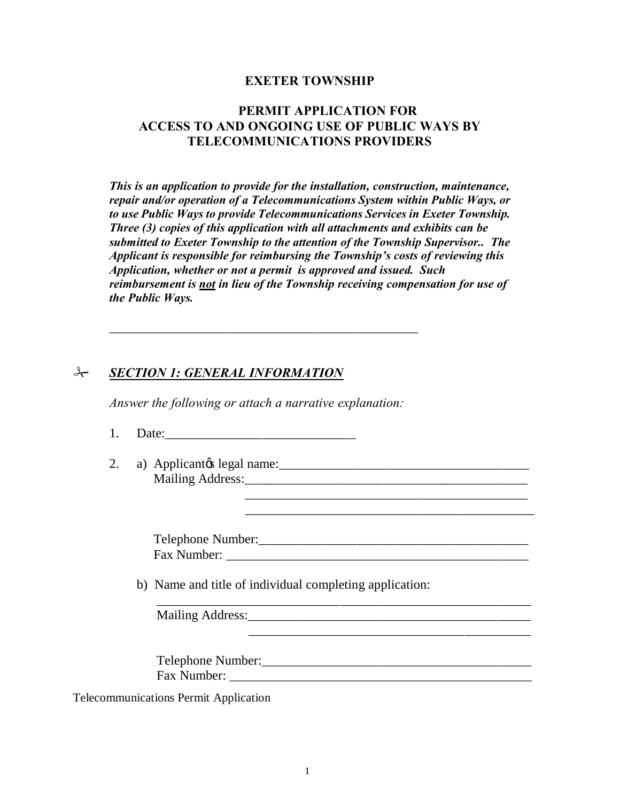#### **EXETER TOWNSHIP**

#### **PERMIT APPLICATION FOR ACCESS TO AND ONGOING USE OF PUBLIC WAYS BY TELECOMMUNICATIONS PROVIDERS**

*This is an application to provide for the installation, construction, maintenance, repair and/or operation of a Telecommunications System within Public Ways, or to use Public Ways to provide Telecommunications Services in Exeter Township. Three (3) copies of this application with all attachments and exhibits can be submitted to Exeter Township to the attention of the Township Supervisor.. The Applicant is responsible for reimbursing the Township's costs of reviewing this Application, whether or not a permit is approved and issued. Such reimbursement is not in lieu of the Township receiving compensation for use of the Public Ways.*

#### # *SECTION 1: GENERAL INFORMATION*

*Answer the following or attach a narrative explanation:*

\_\_\_\_\_\_\_\_\_\_\_\_\_\_\_\_\_\_\_\_\_\_\_\_\_\_\_\_\_\_\_\_\_\_\_\_\_\_\_\_\_\_\_\_\_\_\_

1. Date:\_\_\_\_\_\_\_\_\_\_\_\_\_\_\_\_\_\_\_\_\_\_\_\_\_\_\_\_\_

2. a) Applicant's legal name:\_\_\_\_\_\_\_\_\_\_\_\_\_\_\_\_\_\_\_\_\_\_\_\_\_\_\_\_\_\_\_\_\_\_\_\_\_\_ Mailing Address:\_\_\_\_\_\_\_\_\_\_\_\_\_\_\_\_\_\_\_\_\_\_\_\_\_\_\_\_\_\_\_\_\_\_\_\_\_\_\_\_\_\_\_ \_\_\_\_\_\_\_\_\_\_\_\_\_\_\_\_\_\_\_\_\_\_\_\_\_\_\_\_\_\_\_\_\_\_\_\_\_\_\_\_\_\_\_

> Telephone Number:\_\_\_\_\_\_\_\_\_\_\_\_\_\_\_\_\_\_\_\_\_\_\_\_\_\_\_\_\_\_\_\_\_\_\_\_\_\_\_\_\_ Fax Number:

 $\overline{\phantom{a}}$  ,  $\overline{\phantom{a}}$  ,  $\overline{\phantom{a}}$  ,  $\overline{\phantom{a}}$  ,  $\overline{\phantom{a}}$  ,  $\overline{\phantom{a}}$  ,  $\overline{\phantom{a}}$  ,  $\overline{\phantom{a}}$  ,  $\overline{\phantom{a}}$  ,  $\overline{\phantom{a}}$  ,  $\overline{\phantom{a}}$  ,  $\overline{\phantom{a}}$  ,  $\overline{\phantom{a}}$  ,  $\overline{\phantom{a}}$  ,  $\overline{\phantom{a}}$  ,  $\overline{\phantom{a}}$ 

\_\_\_\_\_\_\_\_\_\_\_\_\_\_\_\_\_\_\_\_\_\_\_\_\_\_\_\_\_\_\_\_\_\_\_\_\_\_\_\_\_\_\_

b) Name and title of individual completing application:

Mailing Address:

\_\_\_\_\_\_\_\_\_\_\_\_\_\_\_\_\_\_\_\_\_\_\_\_\_\_\_\_\_\_\_\_\_\_\_\_\_\_\_\_\_\_\_\_\_\_\_\_\_\_\_\_\_\_\_\_\_

 Telephone Number:\_\_\_\_\_\_\_\_\_\_\_\_\_\_\_\_\_\_\_\_\_\_\_\_\_\_\_\_\_\_\_\_\_\_\_\_\_\_\_\_\_ Fax Number: \_\_\_\_\_\_\_\_\_\_\_\_\_\_\_\_\_\_\_\_\_\_\_\_\_\_\_\_\_\_\_\_\_\_\_\_\_\_\_\_\_\_\_\_\_\_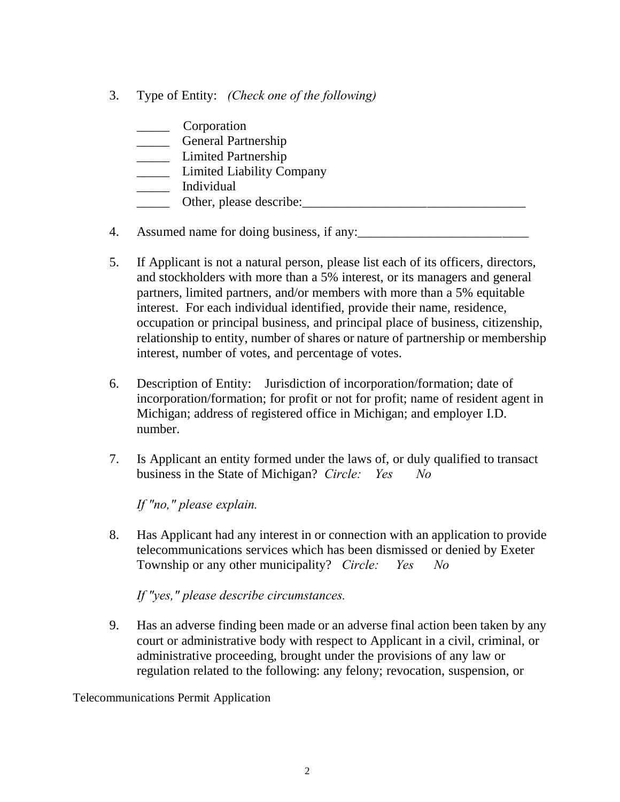3. Type of Entity: *(Check one of the following)*

| Corporation                      |
|----------------------------------|
| General Partnership              |
| Limited Partnership              |
| <b>Limited Liability Company</b> |
| Individual                       |
| Other, please describe:          |

- 4. Assumed name for doing business, if any:
- 5. If Applicant is not a natural person, please list each of its officers, directors, and stockholders with more than a 5% interest, or its managers and general partners, limited partners, and/or members with more than a 5% equitable interest. For each individual identified, provide their name, residence, occupation or principal business, and principal place of business, citizenship, relationship to entity, number of shares or nature of partnership or membership interest, number of votes, and percentage of votes.
- 6. Description of Entity: Jurisdiction of incorporation/formation; date of incorporation/formation; for profit or not for profit; name of resident agent in Michigan; address of registered office in Michigan; and employer I.D. number.
- 7. Is Applicant an entity formed under the laws of, or duly qualified to transact business in the State of Michigan? *Circle: Yes No*

*If "no," please explain.*

8. Has Applicant had any interest in or connection with an application to provide telecommunications services which has been dismissed or denied by Exeter Township or any other municipality? *Circle: Yes No*

*If "yes," please describe circumstances.*

9. Has an adverse finding been made or an adverse final action been taken by any court or administrative body with respect to Applicant in a civil, criminal, or administrative proceeding, brought under the provisions of any law or regulation related to the following: any felony; revocation, suspension, or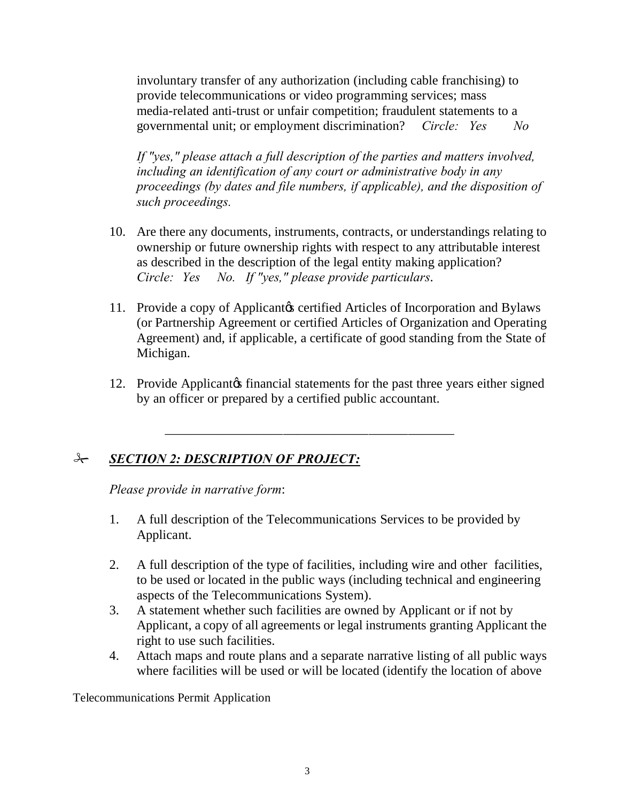involuntary transfer of any authorization (including cable franchising) to provide telecommunications or video programming services; mass media-related anti-trust or unfair competition; fraudulent statements to a governmental unit; or employment discrimination? *Circle: Yes No*

*If "yes," please attach a full description of the parties and matters involved, including an identification of any court or administrative body in any proceedings (by dates and file numbers, if applicable), and the disposition of such proceedings.*

- 10. Are there any documents, instruments, contracts, or understandings relating to ownership or future ownership rights with respect to any attributable interest as described in the description of the legal entity making application? *Circle: Yes No. If "yes," please provide particulars*.
- 11. Provide a copy of Applicant ts certified Articles of Incorporation and Bylaws (or Partnership Agreement or certified Articles of Organization and Operating Agreement) and, if applicable, a certificate of good standing from the State of Michigan.
- 12. Provide Applicant is financial statements for the past three years either signed by an officer or prepared by a certified public accountant.

# # *SECTION 2: DESCRIPTION OF PROJECT:*

*Please provide in narrative form*:

1. A full description of the Telecommunications Services to be provided by Applicant.

\_\_\_\_\_\_\_\_\_\_\_\_\_\_\_\_\_\_\_\_\_\_\_\_\_\_\_\_\_\_\_\_\_\_\_\_\_\_\_\_\_\_\_\_

- 2. A full description of the type of facilities, including wire and other facilities, to be used or located in the public ways (including technical and engineering aspects of the Telecommunications System).
- 3. A statement whether such facilities are owned by Applicant or if not by Applicant, a copy of all agreements or legal instruments granting Applicant the right to use such facilities.
- 4. Attach maps and route plans and a separate narrative listing of all public ways where facilities will be used or will be located (identify the location of above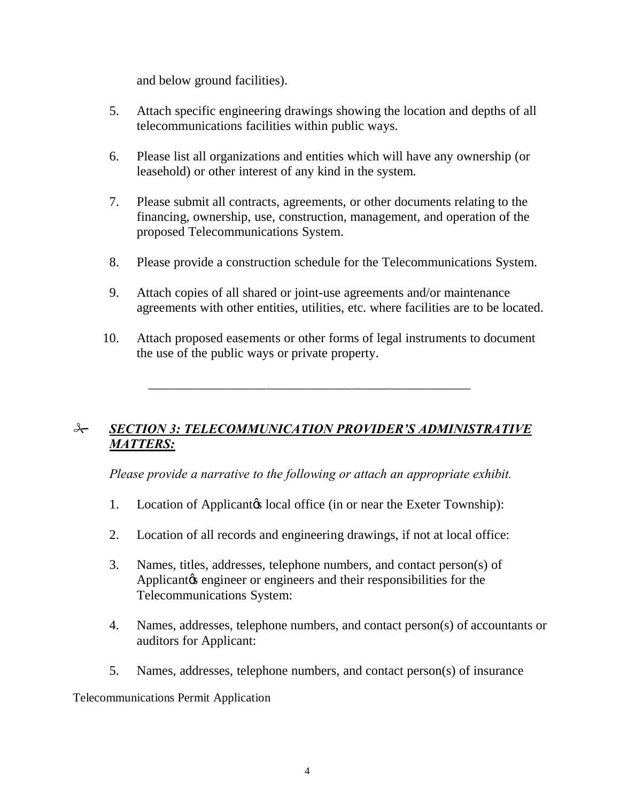and below ground facilities).

- 5. Attach specific engineering drawings showing the location and depths of all telecommunications facilities within public ways.
- 6. Please list all organizations and entities which will have any ownership (or leasehold) or other interest of any kind in the system.
- 7. Please submit all contracts, agreements, or other documents relating to the financing, ownership, use, construction, management, and operation of the proposed Telecommunications System.
- 8. Please provide a construction schedule for the Telecommunications System.
- 9. Attach copies of all shared or joint-use agreements and/or maintenance agreements with other entities, utilities, etc. where facilities are to be located.
- 10. Attach proposed easements or other forms of legal instruments to document the use of the public ways or private property.

# # *SECTION 3: TELECOMMUNICATION PROVIDER'S ADMINISTRATIVE MATTERS:*

\_\_\_\_\_\_\_\_\_\_\_\_\_\_\_\_\_\_\_\_\_\_\_\_\_\_\_\_\_\_\_\_\_\_\_\_\_\_\_\_\_\_\_\_\_\_\_\_\_

*Please provide a narrative to the following or attach an appropriate exhibit.*

- 1. Location of Applicantos local office (in or near the Exeter Township):
- 2. Location of all records and engineering drawings, if not at local office:
- 3. Names, titles, addresses, telephone numbers, and contact person(s) of Applicant the engineer or engineers and their responsibilities for the Telecommunications System:
- 4. Names, addresses, telephone numbers, and contact person(s) of accountants or auditors for Applicant:
- 5. Names, addresses, telephone numbers, and contact person(s) of insurance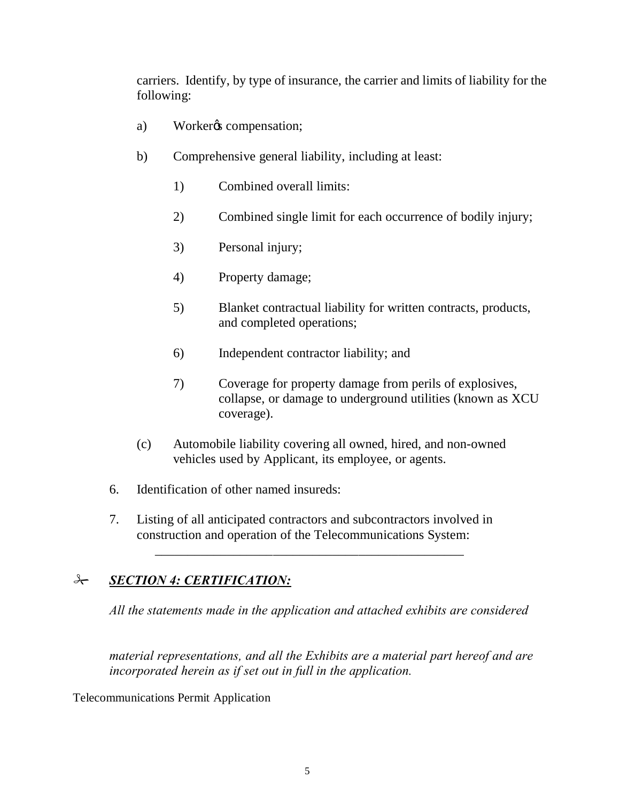carriers. Identify, by type of insurance, the carrier and limits of liability for the following:

- a) Workergs compensation;
- b) Comprehensive general liability, including at least:
	- 1) Combined overall limits:
	- 2) Combined single limit for each occurrence of bodily injury;
	- 3) Personal injury;
	- 4) Property damage;
	- 5) Blanket contractual liability for written contracts, products, and completed operations;
	- 6) Independent contractor liability; and
	- 7) Coverage for property damage from perils of explosives, collapse, or damage to underground utilities (known as XCU coverage).
- (c) Automobile liability covering all owned, hired, and non-owned vehicles used by Applicant, its employee, or agents.
- 6. Identification of other named insureds:
- 7. Listing of all anticipated contractors and subcontractors involved in construction and operation of the Telecommunications System:

\_\_\_\_\_\_\_\_\_\_\_\_\_\_\_\_\_\_\_\_\_\_\_\_\_\_\_\_\_\_\_\_\_\_\_\_\_\_\_\_\_\_\_\_\_\_\_

# # *SECTION 4: CERTIFICATION:*

*All the statements made in the application and attached exhibits are considered* 

*material representations, and all the Exhibits are a material part hereof and are incorporated herein as if set out in full in the application.*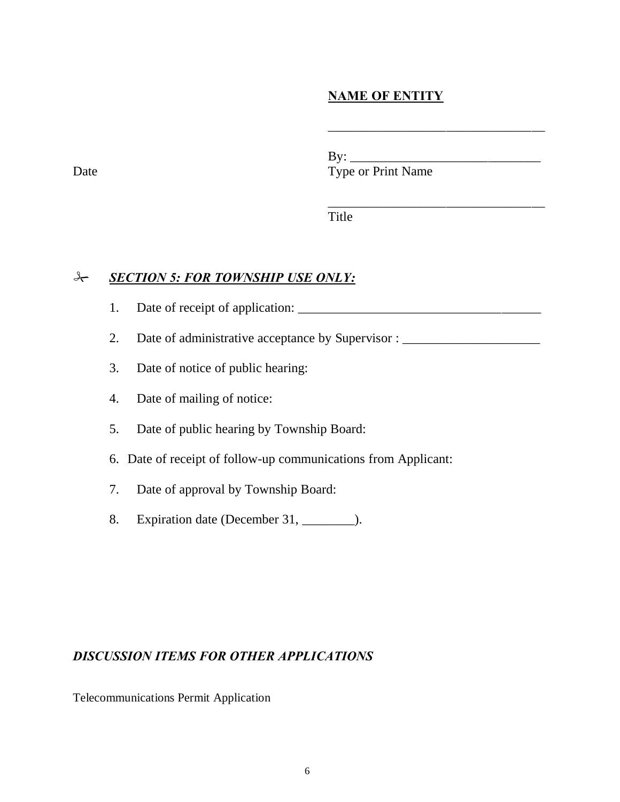# **NAME OF ENTITY**

\_\_\_\_\_\_\_\_\_\_\_\_\_\_\_\_\_\_\_\_\_\_\_\_\_\_\_\_\_\_\_\_\_

\_\_\_\_\_\_\_\_\_\_\_\_\_\_\_\_\_\_\_\_\_\_\_\_\_\_\_\_\_\_\_\_\_

 $\mathbf{B} \mathbf{v}$ :

Date Type or Print Name

Title

# *& SECTION 5: FOR TOWNSHIP USE ONLY:*

- 1. Date of receipt of application: \_\_\_\_\_\_\_\_\_\_\_\_\_\_\_\_\_\_\_\_\_\_\_\_\_\_\_\_\_\_\_\_\_\_\_\_\_
- 2. Date of administrative acceptance by Supervisor : \_\_\_\_\_\_\_\_\_\_\_\_\_\_\_\_\_\_\_\_\_\_\_\_\_\_\_
- 3. Date of notice of public hearing:
- 4. Date of mailing of notice:
- 5. Date of public hearing by Township Board:
- 6. Date of receipt of follow-up communications from Applicant:
- 7. Date of approval by Township Board:
- 8. Expiration date (December 31, \_\_\_\_\_\_\_\_).

### *DISCUSSION ITEMS FOR OTHER APPLICATIONS*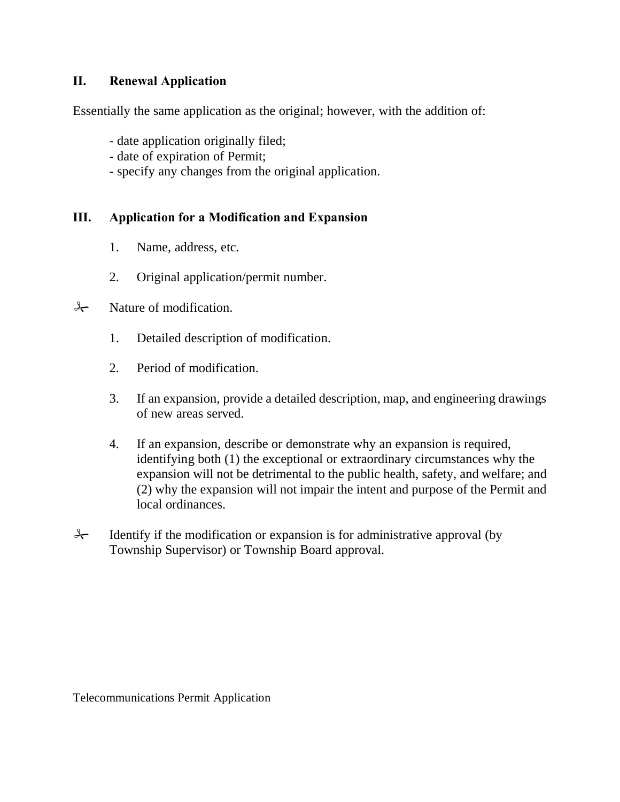### **II. Renewal Application**

Essentially the same application as the original; however, with the addition of:

- date application originally filed;
- date of expiration of Permit;
- specify any changes from the original application.

#### **III. Application for a Modification and Expansion**

- 1. Name, address, etc.
- 2. Original application/permit number.

### $\rightarrow$  Nature of modification.

- 1. Detailed description of modification.
- 2. Period of modification.
- 3. If an expansion, provide a detailed description, map, and engineering drawings of new areas served.
- 4. If an expansion, describe or demonstrate why an expansion is required, identifying both (1) the exceptional or extraordinary circumstances why the expansion will not be detrimental to the public health, safety, and welfare; and (2) why the expansion will not impair the intent and purpose of the Permit and local ordinances.
- $\rightarrow$  Identify if the modification or expansion is for administrative approval (by Township Supervisor) or Township Board approval.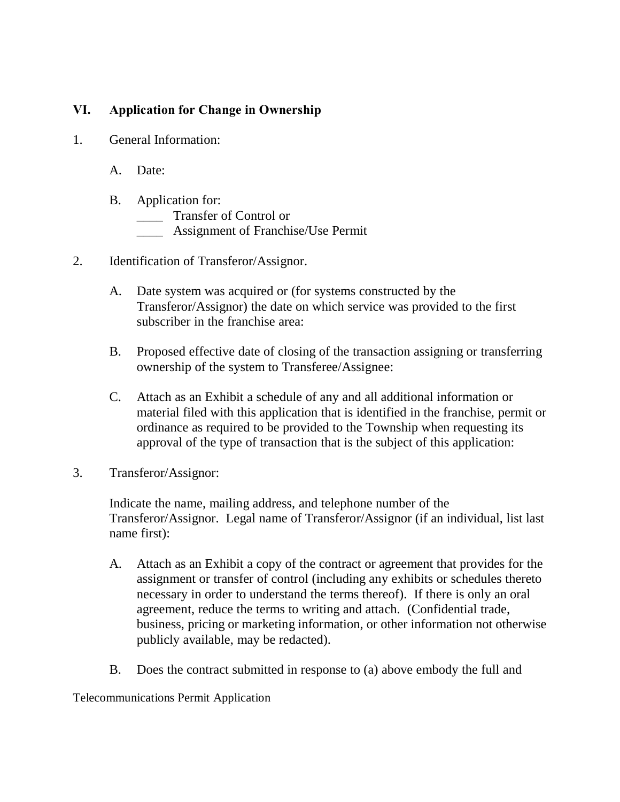# **VI. Application for Change in Ownership**

- 1. General Information:
	- A. Date:
	- B. Application for:
		- \_\_\_\_ Transfer of Control or
		- \_\_\_\_ Assignment of Franchise/Use Permit
- 2. Identification of Transferor/Assignor.
	- A. Date system was acquired or (for systems constructed by the Transferor/Assignor) the date on which service was provided to the first subscriber in the franchise area:
	- B. Proposed effective date of closing of the transaction assigning or transferring ownership of the system to Transferee/Assignee:
	- C. Attach as an Exhibit a schedule of any and all additional information or material filed with this application that is identified in the franchise, permit or ordinance as required to be provided to the Township when requesting its approval of the type of transaction that is the subject of this application:
- 3. Transferor/Assignor:

Indicate the name, mailing address, and telephone number of the Transferor/Assignor. Legal name of Transferor/Assignor (if an individual, list last name first):

- A. Attach as an Exhibit a copy of the contract or agreement that provides for the assignment or transfer of control (including any exhibits or schedules thereto necessary in order to understand the terms thereof). If there is only an oral agreement, reduce the terms to writing and attach. (Confidential trade, business, pricing or marketing information, or other information not otherwise publicly available, may be redacted).
- B. Does the contract submitted in response to (a) above embody the full and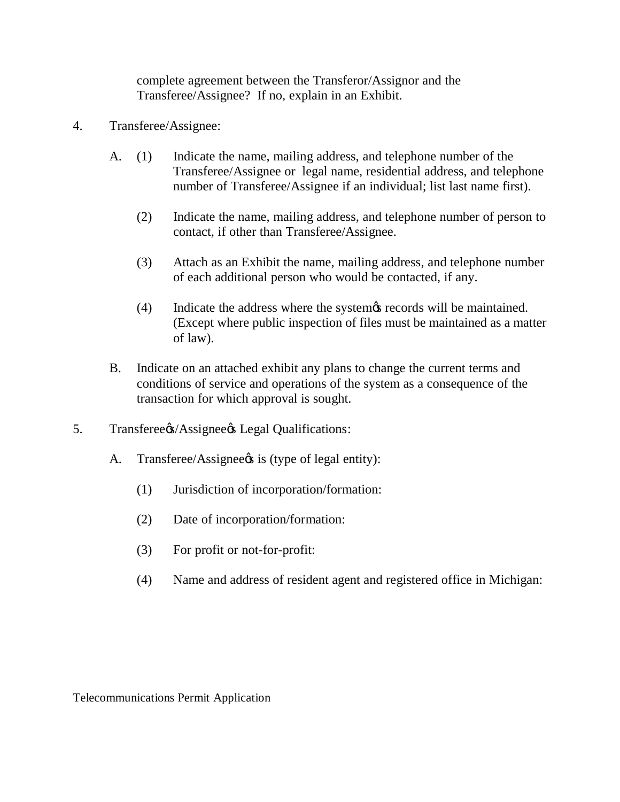complete agreement between the Transferor/Assignor and the Transferee/Assignee? If no, explain in an Exhibit.

- 4. Transferee/Assignee:
	- A. (1) Indicate the name, mailing address, and telephone number of the Transferee/Assignee or legal name, residential address, and telephone number of Transferee/Assignee if an individual; list last name first).
		- (2) Indicate the name, mailing address, and telephone number of person to contact, if other than Transferee/Assignee.
		- (3) Attach as an Exhibit the name, mailing address, and telephone number of each additional person who would be contacted, if any.
		- (4) Indicate the address where the system *i*s records will be maintained. (Except where public inspection of files must be maintained as a matter of law).
	- B. Indicate on an attached exhibit any plans to change the current terms and conditions of service and operations of the system as a consequence of the transaction for which approval is sought.
- 5. Transferee%/Assignee% Legal Qualifications:
	- A. Transferee/Assignee<sup>gs</sup> is (type of legal entity):
		- (1) Jurisdiction of incorporation/formation:
		- (2) Date of incorporation/formation:
		- (3) For profit or not-for-profit:
		- (4) Name and address of resident agent and registered office in Michigan: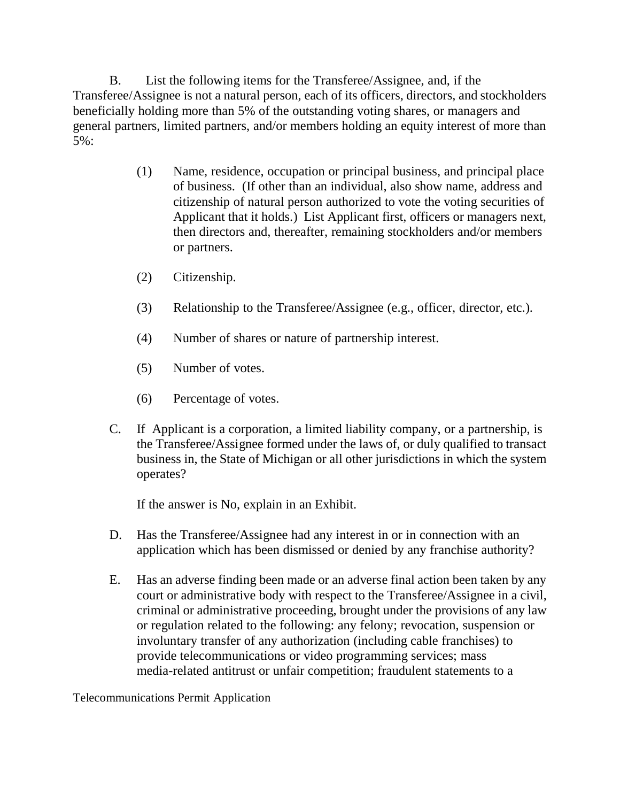B. List the following items for the Transferee/Assignee, and, if the Transferee/Assignee is not a natural person, each of its officers, directors, and stockholders beneficially holding more than 5% of the outstanding voting shares, or managers and general partners, limited partners, and/or members holding an equity interest of more than 5%:

- (1) Name, residence, occupation or principal business, and principal place of business. (If other than an individual, also show name, address and citizenship of natural person authorized to vote the voting securities of Applicant that it holds.) List Applicant first, officers or managers next, then directors and, thereafter, remaining stockholders and/or members or partners.
- (2) Citizenship.
- (3) Relationship to the Transferee/Assignee (e.g., officer, director, etc.).
- (4) Number of shares or nature of partnership interest.
- (5) Number of votes.
- (6) Percentage of votes.
- C. If Applicant is a corporation, a limited liability company, or a partnership, is the Transferee/Assignee formed under the laws of, or duly qualified to transact business in, the State of Michigan or all other jurisdictions in which the system operates?

If the answer is No, explain in an Exhibit.

- D. Has the Transferee/Assignee had any interest in or in connection with an application which has been dismissed or denied by any franchise authority?
- E. Has an adverse finding been made or an adverse final action been taken by any court or administrative body with respect to the Transferee/Assignee in a civil, criminal or administrative proceeding, brought under the provisions of any law or regulation related to the following: any felony; revocation, suspension or involuntary transfer of any authorization (including cable franchises) to provide telecommunications or video programming services; mass media-related antitrust or unfair competition; fraudulent statements to a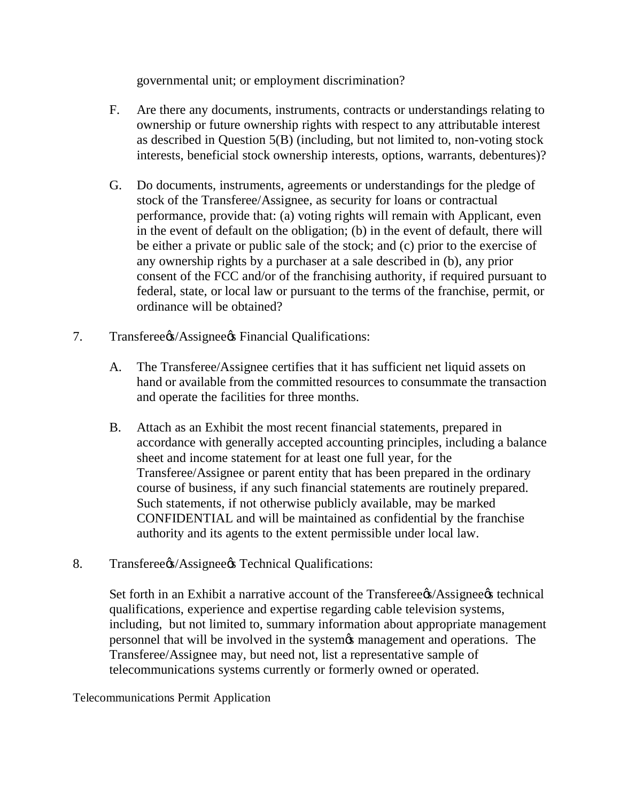governmental unit; or employment discrimination?

- F. Are there any documents, instruments, contracts or understandings relating to ownership or future ownership rights with respect to any attributable interest as described in Question 5(B) (including, but not limited to, non-voting stock interests, beneficial stock ownership interests, options, warrants, debentures)?
- G. Do documents, instruments, agreements or understandings for the pledge of stock of the Transferee/Assignee, as security for loans or contractual performance, provide that: (a) voting rights will remain with Applicant, even in the event of default on the obligation; (b) in the event of default, there will be either a private or public sale of the stock; and (c) prior to the exercise of any ownership rights by a purchaser at a sale described in (b), any prior consent of the FCC and/or of the franchising authority, if required pursuant to federal, state, or local law or pursuant to the terms of the franchise, permit, or ordinance will be obtained?
- 7. Transferee%/Assignee% Financial Qualifications:
	- A. The Transferee/Assignee certifies that it has sufficient net liquid assets on hand or available from the committed resources to consummate the transaction and operate the facilities for three months.
	- B. Attach as an Exhibit the most recent financial statements, prepared in accordance with generally accepted accounting principles, including a balance sheet and income statement for at least one full year, for the Transferee/Assignee or parent entity that has been prepared in the ordinary course of business, if any such financial statements are routinely prepared. Such statements, if not otherwise publicly available, may be marked CONFIDENTIAL and will be maintained as confidential by the franchise authority and its agents to the extent permissible under local law.
- 8. Transferee%/Assignee% Technical Qualifications:

Set forth in an Exhibit a narrative account of the Transferee (Assignee (s) technical qualifications, experience and expertise regarding cable television systems, including, but not limited to, summary information about appropriate management personnel that will be involved in the system  $\alpha$  management and operations. The Transferee/Assignee may, but need not, list a representative sample of telecommunications systems currently or formerly owned or operated.